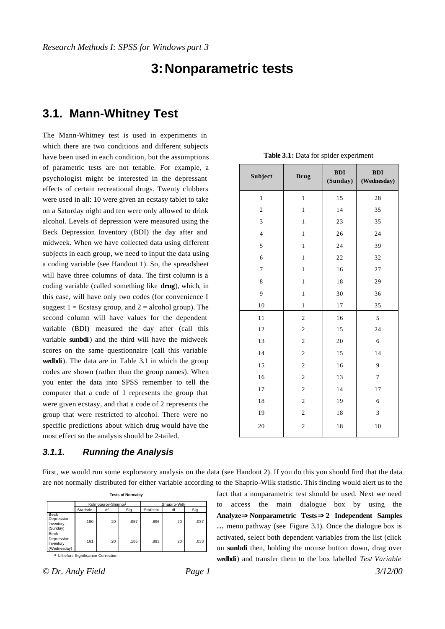# **3:Nonparametric tests**

## **3.1. Mann-Whitney Test**

The Mann-Whitney test is used in experiments in which there are two conditions and different subjects have been used in each condition, but the assumptions of parametric tests are not tenable. For example, a psychologist might be interested in the depressant effects of certain recreational drugs. Twenty clubbers were used in all: 10 were given an ecstasy tablet to take on a Saturday night and ten were only allowed to drink alcohol. Levels of depression were measured using the Beck Depression Inventory (BDI) the day after and midweek. When we have collected data using different subjects in each group, we need to input the data using a coding variable (see Handout 1). So, the spreadsheet will have three columns of data. The first column is a coding variable (called something like **drug**), which, in this case, will have only two codes (for convenience I suggest  $1 =$  Ecstasy group, and  $2 =$  alcohol group). The second column will have values for the dependent variable (BDI) measured the day after (call this variable **sunbdi**) and the third will have the midweek scores on the same questionnaire (call this variable **wedbdi**). The data are in Table 3.1 in which the group codes are shown (rather than the group names). When you enter the data into SPSS remember to tell the computer that a code of 1 represents the group that were given ecstasy, and that a code of 2 represents the group that were restricted to alcohol. There were no specific predictions about which drug would have the most effect so the analysis should be 2-tailed.

#### *3.1.1. Running the Analysis*

| Subject          | <b>Drug</b>             | BDI<br>(Sunday) | BDI<br>(Wednesday) |
|------------------|-------------------------|-----------------|--------------------|
| $\mathbf{1}$     | $\,1$                   | 15              | 28                 |
| $\overline{c}$   | $\,1$                   | 14              | 35                 |
| 3                | $\,1$                   | 23              | 35                 |
| $\overline{4}$   | $\mathbf{1}$            | 26              | 24                 |
| 5                | $\,1$                   | 24              | 39                 |
| 6                | $\mathbf{1}$            | 22              | 32                 |
| $\boldsymbol{7}$ | $\,1$                   | 16              | 27                 |
| 8                | $\mathbf{1}$            | 18              | 29                 |
| 9                | $\mathbf{1}$            | 30              | 36                 |
| 10               | $\,1$                   | 17              | 35                 |
| 11               | $\overline{c}$          | 16              | 5                  |
| 12               | $\overline{c}$          | 15              | 24                 |
| 13               | $\overline{c}$          | 20              | 6                  |
| 14               | $\overline{c}$          | 15              | 14                 |
| 15               | $\boldsymbol{2}$        | 16              | 9                  |
| 16               | $\overline{c}$          | 13              | $\boldsymbol{7}$   |
| $17\,$           | $\sqrt{2}$              | 14              | 17                 |
| 18               | $\overline{c}$          | 19              | 6                  |
| 19               | $\overline{c}$          | 18              | 3                  |
| 20               | $\overline{\mathbf{c}}$ | $1\,8$          | 10                 |

**Table 3.1:** Data for spider experiment

First, we would run some exploratory analysis on the data (see Handout 2). If you do this you should find that the data are not normally distributed for either variable according to the Shaprio-Wilk statistic. This finding would alert us to the

| <b>Tests of Normality</b>                          |           |                                 |      |                  |    |      |
|----------------------------------------------------|-----------|---------------------------------|------|------------------|----|------|
|                                                    |           | Kolmogorov-Smirnov <sup>9</sup> |      | Shapiro-Wilk     |    |      |
|                                                    | Statistic | df                              | Sig. | <b>Statistic</b> | df | Sig. |
| <b>Beck</b><br>Depression<br>Inventory<br>(Sunday) | .190      | 20                              | .057 | .896             | 20 | .037 |
| Beck<br>Depression<br>Inventory<br>(Wednesday)     | .161      | 20                              | .185 | .893             | 20 | .033 |

a. Lilliefors Significance Correction

*© Dr. Andy Field Page 1 3/12/00*

fact that a nonparametric test should be used. Next we need to access the main dialogue box by using the **AnalyzeÞNonparametric TestsÞ2 Independent Samples …** menu pathway (see Figure 3.1). Once the dialogue box is activated, select both dependent variables from the list (click on **sunbdi** then, holding the mo use button down, drag over **wedbdi**) and transfer them to the box labelled *Test Variable*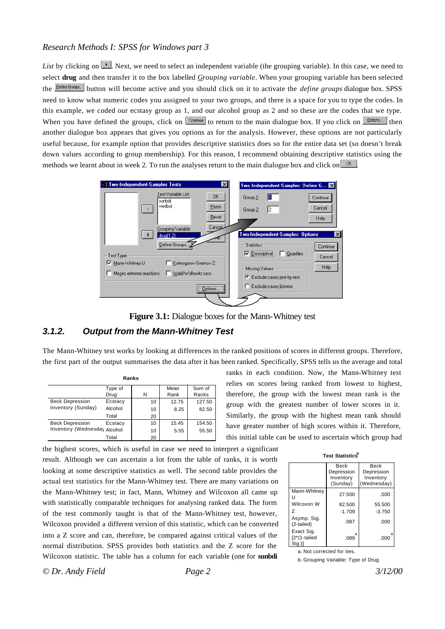*List* by clicking on  $\mathbb{F}$ . Next, we need to select an independent variable (the grouping variable). In this case, we need to select **drug** and then transfer it to the box labelled *Grouping variable*. When your grouping variable has been selected the **Define Groups...** button will become active and you should click on it to activate the *define groups* dialogue box. SPSS need to know what numeric codes you assigned to your two groups, and there is a space for you to type the codes. In this example, we coded our ecstasy group as 1, and our alcohol group as 2 and so these are the codes that we type. When you have defined the groups, click on  $\sqrt{q}$  continue to return to the main dialogue box. If you click on  $\sqrt{q}$  then another dialogue box appears that gives you options as for the analysis. However, these options are not particularly useful because, for example option that provides descriptive statistics does so for the entire data set (so doesn't break down values according to group membership). For this reason, I recommend obtaining descriptive statistics using the methods we learnt about in week 2. To run the analyses return to the main dialogue box and click on  $\sqrt{\alpha}$ 



**Figure 3.1:** Dialogue boxes for the Mann-Whitney test

### *3.1.2. Output from the Mann-Whitney Test*

The Mann-Whitney test works by looking at differences in the ranked positions of scores in different groups. Therefore, the first part of the output summarises the data after it has been ranked. Specifically, SPSS tells us the average and total

|                              | Ranks   |    |       |        |
|------------------------------|---------|----|-------|--------|
|                              | Type of |    | Mean  | Sum of |
|                              | Drug    | N  | Rank  | Ranks  |
| <b>Beck Depression</b>       | Ecstacy | 10 | 12.75 | 127.50 |
| Inventory (Sunday)           | Alcohol | 10 | 8.25  | 82.50  |
|                              | Total   | 20 |       |        |
| <b>Beck Depression</b>       | Ecstacy | 10 | 15.45 | 154.50 |
| Inventory (Wednesda) Alcohol |         | 10 | 5.55  | 55.50  |
|                              | Total   | 20 |       |        |

the highest scores, which is useful in case we need to interpret a significant result. Although we can ascertain a lot from the table of ranks, it is worth looking at some descriptive statistics as well. The second table provides the actual test statistics for the Mann-Whitney test. There are many variations on the Mann-Whitney test; in fact, Mann, Whitney and Wilcoxon all came up with statistically comparable techniques for analysing ranked data. The form of the test commonly taught is that of the Mann-Whitney test, however, Wilcoxon provided a different version of this statistic, which can be converted into a Z score and can, therefore, be compared against critical values of the normal distribution. SPSS provides both statistics and the Z score for the Wilcoxon statistic. The table has a column for each variable (one for **sunbdi**

ranks in each condition. Now, the Mann-Whitney test relies on scores being ranked from lowest to highest, therefore, the group with the lowest mean rank is the group with the greatest number of lower scores in it. Similarly, the group with the highest mean rank should have greater number of high scores within it. Therefore, this initial table can be used to ascertain which group had

| <b>Test Statistics</b> <sup>b</sup> |
|-------------------------------------|
|                                     |

|                                          | Beck<br>Depression<br>Inventory<br>(Sunday) | Beck<br>Depression<br>Inventory<br>(Wednesday) |
|------------------------------------------|---------------------------------------------|------------------------------------------------|
| Mann-Whitney<br>Н                        | 27.500                                      | .500                                           |
| Wilcoxon W                               | 82.500                                      | 55.500                                         |
| 7                                        | $-1.709$                                    | $-3.750$                                       |
| Asymp. Sig.<br>(2-tailed)                | .087                                        | .000                                           |
| Exact Sig.<br>$[2*(1-tailed$<br>$Siq.$ ) | a<br>.089                                   | a<br>.000                                      |

a. Not corrected for ties.

b. Grouping Variable: Type of Drug

*© Dr. Andy Field Page 2 3/12/00*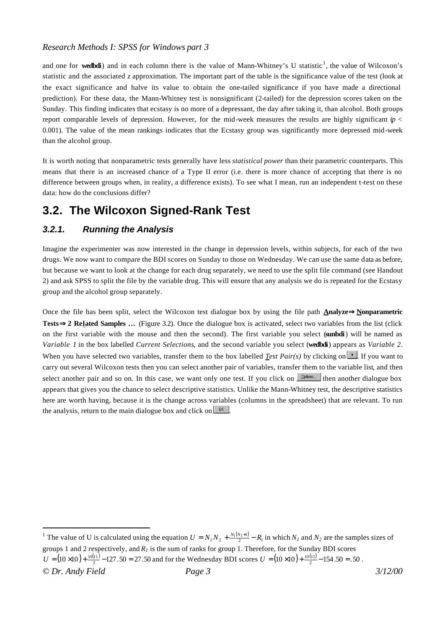and one for **wedbdi**) and in each column there is the value of Mann-Whitney's U statistic<sup>1</sup>, the value of Wilcoxon's statistic and the associated *z* approximation. The important part of the table is the significance value of the test (look at the exact significance and halve its value to obtain the one-tailed significance if you have made a directional prediction). For these data, the Mann-Whitney test is nonsignificant (2-tailed) for the depression scores taken on the Sunday. This finding indicates that ecstasy is no more of a depressant, the day after taking it, than alcohol. Both groups report comparable levels of depression. However, for the mid-week measures the results are highly significant  $(p <$ 0.001). The value of the mean rankings indicates that the Ecstasy group was significantly more depressed mid-week than the alcohol group.

It is worth noting that nonparametric tests generally have less *statistical power* than their parametric counterparts. This means that there is an increased chance of a Type II error (i.e. there is more chance of accepting that there is no difference between groups when, in reality, a difference exists). To see what I mean, run an independent t-test on these data: how do the conclusions differ?

# **3.2. The Wilcoxon Signed-Rank Test**

## *3.2.1. Running the Analysis*

l

Imagine the experimenter was now interested in the change in depression levels, within subjects, for each of the two drugs. We now want to compare the BDI scores on Sunday to those on Wednesday. We can use the same data as before, but because we want to look at the change for each drug separately, we need to use the split file command (see Handout 2) and ask SPSS to split the file by the variable drug. This will ensure that any analysis we do is repeated for the Ecstasy group and the alcohol group separately.

Once the file has been split, select the Wilcoxon test dialogue box by using the file path **AnalyzeÞNonparametric Tests <b>Þ** 2 Related Samples ... (Figure 3.2). Once the dialogue box is activated, select two variables from the list (click on the first variable with the mouse and then the second). The first variable you select (**sunbdi**) will be named as *Variable 1* in the box labelled *Current Selections*, and the second variable you select (**wedbdi**) appears as *Variable 2*. When you have selected two variables, transfer them to the box labelled *Test Pair(s)* by clicking on  $\mathbb{R}$ . If you want to carry out several Wilcoxon tests then you can select another pair of variables, transfer them to the variable list, and then select another pair and so on. In this case, we want only one test. If you click on **the substitute** then another dialogue box appears that gives you the chance to select descriptive statistics. Unlike the Mann-Whitney test, the descriptive statistics here are worth having, because it is the change across variables (columns in the spreadsheet) that are relevant. To run the analysis, return to the main dialogue box and click on  $\sqrt{R}$ 

*<sup>©</sup> Dr. Andy Field Page 3 3/12/00* <sup>1</sup> The value of U is calculated using the equation  $U = N_1 N_2 + \frac{N_1(N_1+1)}{2} - R_1$  in which  $N_I$  and  $N_2$  are the samples sizes of groups 1 and 2 respectively, and  $R_I$  is the sum of ranks for group 1. Therefore, for the Sunday BDI scores  $U = (10 \times 10) + \frac{10(11)}{2} - 127.50 = 27.50$  and for the Wednesday BDI scores  $U = (10 \times 10) + \frac{10(11)}{2} - 154.50 = .50$ .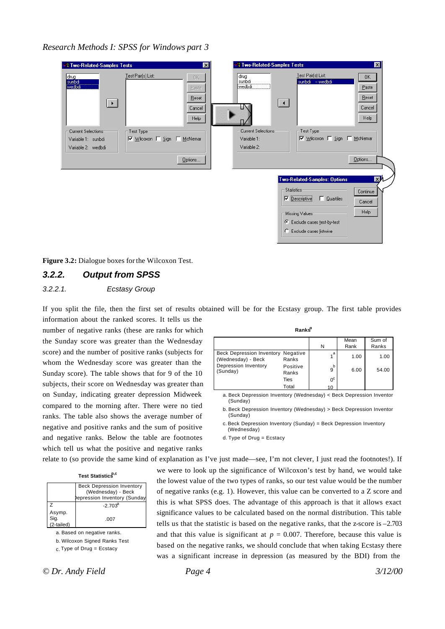

**Figure 3.2:** Dialogue boxes for the Wilcoxon Test.

## *3.2.2. Output from SPSS*

#### *3.2.2.1. Ecstasy Group*

If you split the file, then the first set of results obtained will be for the Ecstasy group. The first table provides information about the ranked scores. It tells us the number of negative ranks (these are ranks for which the Sunday score was greater than the Wednesday score) and the number of positive ranks (subjects for whom the Wednesday score was greater than the Sunday score). The table shows that for 9 of the 10 subjects, their score on Wednesday was greater than on Sunday, indicating greater depression Midweek compared to the morning after. There were no tied ranks. The table also shows the average number of negative and positive ranks and the sum of positive and negative ranks. Below the table are footnotes which tell us what the positive and negative ranks

|                                                          | Ranks <sup>d</sup> |                |      |        |
|----------------------------------------------------------|--------------------|----------------|------|--------|
|                                                          |                    |                | Mean | Sum of |
|                                                          |                    | N              | Rank | Ranks  |
| Beck Depression Inventory Negative<br>(Wednesday) - Beck | Ranks              | a              | 1.00 | 1.00   |
| Depression Inventory<br>(Sunday)                         | Positive<br>Ranks  | b<br>9         | 6.00 | 54.00  |
|                                                          | Ties               | 0 <sup>c</sup> |      |        |

Total

a. Beck Depression Inventory (Wednesday) < Beck Depression Inventor (Sunday)

10

b. Beck Depression Inventory (Wednesday) > Beck Depression Inventor (Sunday)

c. Beck Depression Inventory (Sunday) = Beck Depression Inventory (Wednesday)

d. Type of Drug = Ecstacy

relate to (so provide the same kind of explanation as I've just made—see, I'm not clever, I just read the footnotes!). If

|  | Test Statistics <sup>p,c</sup> |
|--|--------------------------------|
|--|--------------------------------|

|                              | <b>Beck Depression Inventory</b><br>(Wednesday) - Beck<br>epression Inventory (Sunday |
|------------------------------|---------------------------------------------------------------------------------------|
| $\mathcal{L}$                | $-2703^a$                                                                             |
| Asymp.<br>Sig.<br>(2-tailed) | .007                                                                                  |

a. Based on negative ranks.

b. Wilcoxon Signed Ranks Test

c. Type of Drug = Ecstacy

we were to look up the significance of Wilcoxon's test by hand, we would take the lowest value of the two types of ranks, so our test value would be the number of negative ranks (e.g. 1). However, this value can be converted to a Z score and this is what SPSS does. The advantage of this approach is that it allows exact significance values to be calculated based on the normal distribution. This table tells us that the statistic is based on the negative ranks, that the z-score is –2.703 and that this value is significant at  $p = 0.007$ . Therefore, because this value is based on the negative ranks, we should conclude that when taking Ecstasy there was a significant increase in depression (as measured by the BDI) from the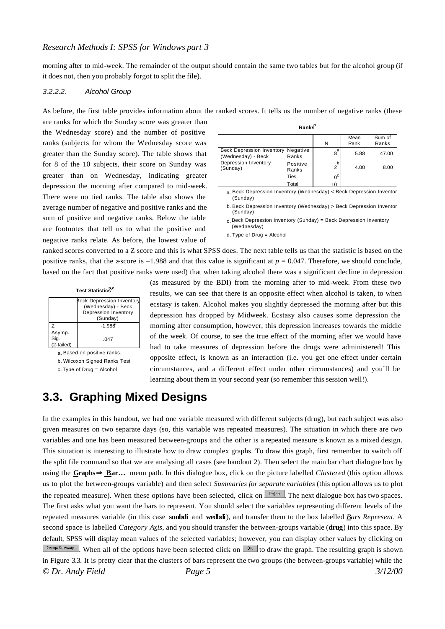morning after to mid-week. The remainder of the output should contain the same two tables but for the alcohol group (if it does not, then you probably forgot to split the file).

#### *3.2.2.2. Alcohol Group*

As before, the first table provides information about the ranked scores. It tells us the number of negative ranks (these

are ranks for which the Sunday score was greater than the Wednesday score) and the number of positive ranks (subjects for whom the Wednesday score was greater than the Sunday score). The table shows that for 8 of the 10 subjects, their score on Sunday was greater than on Wednesday, indicating greater depression the morning after compared to mid-week. There were no tied ranks. The table also shows the average number of negative and positive ranks and the sum of positive and negative ranks. Below the table are footnotes that tell us to what the positive and negative ranks relate. As before, the lowest value of

|                                                          |                   |                     | Mean | Sum of |
|----------------------------------------------------------|-------------------|---------------------|------|--------|
|                                                          |                   | N                   | Rank | Ranks  |
| Beck Depression Inventory Negative<br>(Wednesday) - Beck | Ranks             | 8 <sup>a</sup>      | 5.88 | 47.00  |
| Depression Inventory<br>(Sunday)                         | Positive<br>Ranks | b<br>$\overline{2}$ | 4.00 | 8.00   |
|                                                          | Ties              | 0 <sup>c</sup>      |      |        |
|                                                          | Total             | 10                  |      |        |

**Ranks<sup>d</sup>**

a. Beck Depression Inventory (Wednesday) < Beck Depression Inventor (Sunday)

b. Beck Depression Inventory (Wednesday) > Beck Depression Inventor (Sunday)

c. Beck Depression Inventory (Sunday) = Beck Depression Inventory (Wednesday)

d. Type of Drug = Alcohol

ranked scores converted to a Z score and this is what SPSS does. The next table tells us that the statistic is based on the positive ranks, that the z-score is  $-1.988$  and that this value is significant at  $p = 0.047$ . Therefore, we should conclude, based on the fact that positive ranks were used) that when taking alcohol there was a significant decline in depression

| Test Statistics <sup>p,c</sup> |                                                                                     |  |  |
|--------------------------------|-------------------------------------------------------------------------------------|--|--|
|                                | Beck Depression Inventory<br>(Wednesday) - Beck<br>Depression Inventory<br>(Sunday) |  |  |
| 7                              | $-1.988^{a}$                                                                        |  |  |
| Asymp.<br>Sig.<br>(2-tailed)   | 047                                                                                 |  |  |

a. Based on positive ranks.

b. Wilcoxon Signed Ranks Test

c. Type of Drug = Alcohol

(as measured by the BDI) from the morning after to mid-week. From these two results, we can see that there is an opposite effect when alcohol is taken, to when ecstasy is taken. Alcohol makes you slightly depressed the morning after but this depression has dropped by Midweek. Ecstasy also causes some depression the morning after consumption, however, this depression increases towards the middle of the week. Of course, to see the true effect of the morning after we would have had to take measures of depression before the drugs were administered! This opposite effect, is known as an interaction (i.e. you get one effect under certain circumstances, and a different effect under other circumstances) and you'll be learning about them in your second year (so remember this session well!).

## **3.3. Graphing Mixed Designs**

*© Dr. Andy Field Page 5 3/12/00* In the examples in this handout, we had one variable measured with different subjects (drug), but each subject was also given measures on two separate days (so, this variable was repeated measures). The situation in which there are two variables and one has been measured between-groups and the other is a repeated measure is known as a mixed design. This situation is interesting to illustrate how to draw complex graphs. To draw this graph, first remember to switch off the split file command so that we are analysing all cases (see handout 2). Then select the main bar chart dialogue box by using the **GraphsÞ Bar…** menu path. In this dialogue box, click on the picture labelled *Clustered* (this option allows us to plot the between-groups variable) and then select *Summaries for separate variables* (this option allows us to plot the repeated measure). When these options have been selected, click on **Define** The next dialogue box has two spaces. The first asks what you want the bars to represent. You should select the variables representing different levels of the repeated measures variable (in this case **sunbdi** and **wedbdi**), and transfer them to the box labelled *Bars Represent*. A second space is labelled *Category Axis*, and you should transfer the between-groups variable (**drug**) into this space. By default, SPSS will display mean values of the selected variables; however, you can display other values by clicking on  $\frac{Change Summay}{Arlyommay}$ . When all of the options have been selected click on  $\frac{OK}{Arly}$  to draw the graph. The resulting graph is shown in Figure 3.3. It is pretty clear that the clusters of bars represent the two groups (the between-groups variable) while the